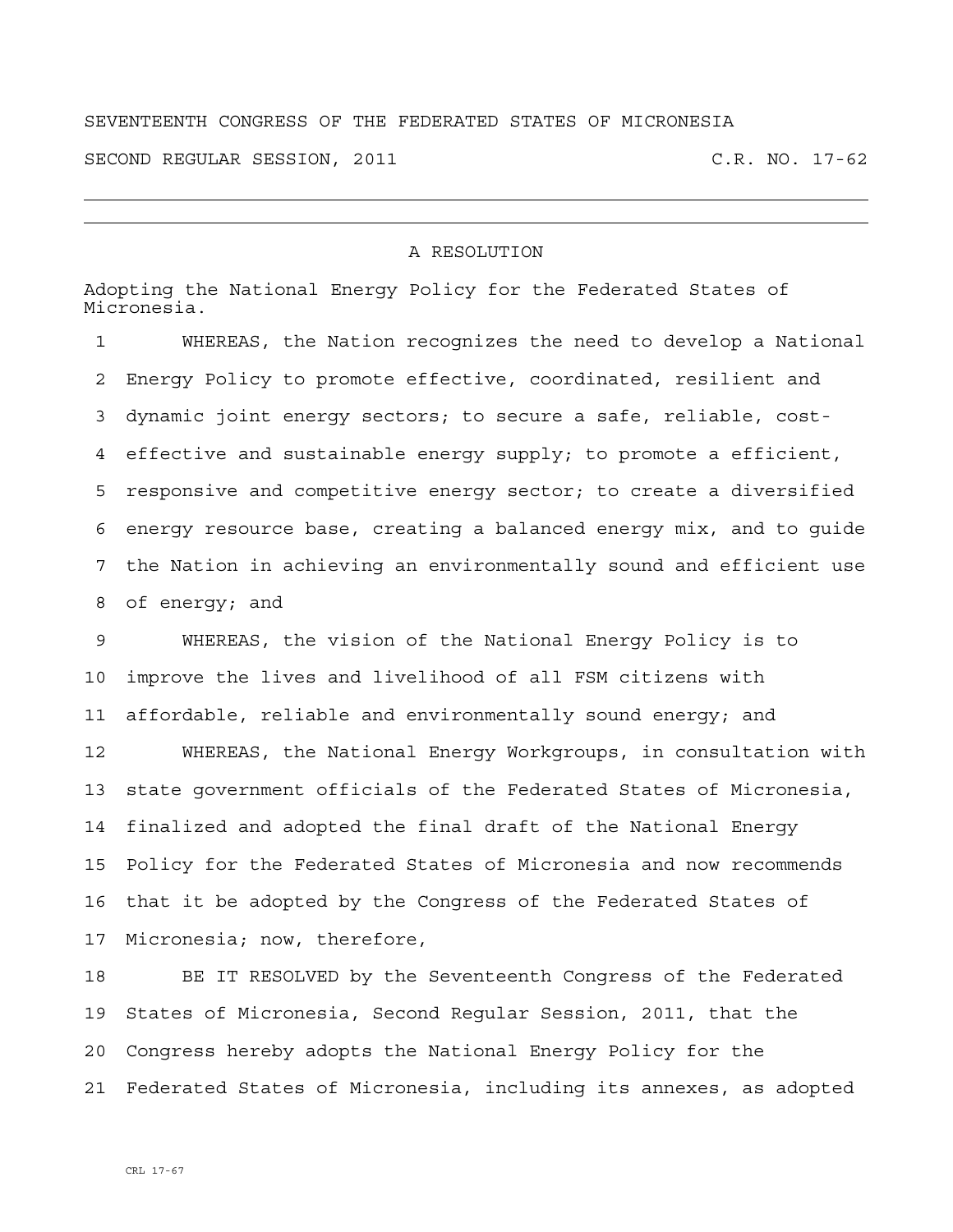## SEVENTEENTH CONGRESS OF THE FEDERATED STATES OF MICRONESIA

SECOND REGULAR SESSION, 2011 C.R. NO. 17-62

## A RESOLUTION

Adopting the National Energy Policy for the Federated States of Micronesia.

1 WHEREAS, the Nation recognizes the need to develop a National 2 Energy Policy to promote effective, coordinated, resilient and 3 dynamic joint energy sectors; to secure a safe, reliable, cost-4 effective and sustainable energy supply; to promote a efficient, 5 responsive and competitive energy sector; to create a diversified 6 energy resource base, creating a balanced energy mix, and to guide 7 the Nation in achieving an environmentally sound and efficient use 8 of energy; and

9 WHEREAS, the vision of the National Energy Policy is to 10 improve the lives and livelihood of all FSM citizens with 11 affordable, reliable and environmentally sound energy; and

12 WHEREAS, the National Energy Workgroups, in consultation with 13 state government officials of the Federated States of Micronesia, 14 finalized and adopted the final draft of the National Energy 15 Policy for the Federated States of Micronesia and now recommends 16 that it be adopted by the Congress of the Federated States of 17 Micronesia; now, therefore,

18 BE IT RESOLVED by the Seventeenth Congress of the Federated 19 States of Micronesia, Second Regular Session, 2011, that the 20 Congress hereby adopts the National Energy Policy for the 21 Federated States of Micronesia, including its annexes, as adopted